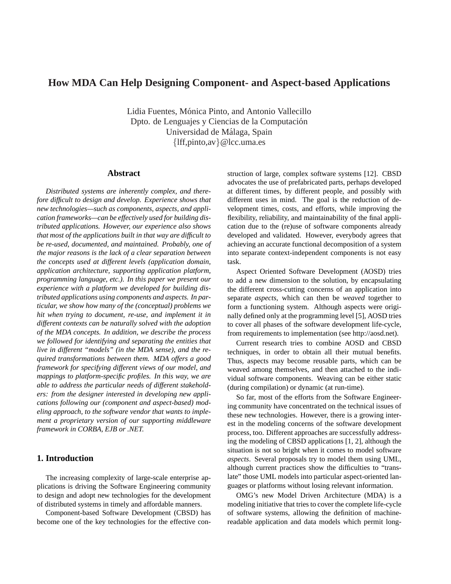# **How MDA Can Help Designing Component- and Aspect-based Applications**

Lidia Fuentes, Mónica Pinto, and Antonio Vallecillo Dpto. de Lenguajes y Ciencias de la Computación Universidad de Malaga, Spain ´ {lff,pinto,av}@lcc.uma.es

## **Abstract**

*Distributed systems are inherently complex, and therefore difficult to design and develop. Experience shows that new technologies—such as components, aspects, and application frameworks—can be effectively used for building distributed applications. However, our experience also shows that most of the applications built in that way are difficult to be re-used, documented, and maintained. Probably, one of the major reasons is the lack of a clear separation between the concepts used at different levels (application domain, application architecture, supporting application platform, programming language, etc.). In this paper we present our experience with a platform we developed for building distributed applications using components and aspects. In particular, we show how many of the (conceptual) problems we hit when trying to document, re-use, and implement it in different contexts can be naturally solved with the adoption of the MDA concepts. In addition, we describe the process we followed for identifying and separating the entities that live in different "models" (in the MDA sense), and the required transformations between them. MDA offers a good framework for specifying different views of our model, and mappings to platform-specific profiles. In this way, we are able to address the particular needs of different stakeholders: from the designer interested in developing new applications following our (component and aspect-based) modeling approach, to the software vendor that wants to implement a proprietary version of our supporting middleware framework in CORBA, EJB or .NET.*

# **1. Introduction**

The increasing complexity of large-scale enterprise applications is driving the Software Engineering community to design and adopt new technologies for the development of distributed systems in timely and affordable manners.

Component-based Software Development (CBSD) has become one of the key technologies for the effective construction of large, complex software systems [12]. CBSD advocates the use of prefabricated parts, perhaps developed at different times, by different people, and possibly with different uses in mind. The goal is the reduction of development times, costs, and efforts, while improving the flexibility, reliability, and maintainability of the final application due to the (re)use of software components already developed and validated. However, everybody agrees that achieving an accurate functional decomposition of a system into separate context-independent components is not easy task.

Aspect Oriented Software Development (AOSD) tries to add a new dimension to the solution, by encapsulating the different cross-cutting concerns of an application into separate *aspects*, which can then be *weaved* together to form a functioning system. Although aspects were originally defined only at the programming level [5], AOSD tries to cover all phases of the software development life-cycle, from requirements to implementation (see http://aosd.net).

Current research tries to combine AOSD and CBSD techniques, in order to obtain all their mutual benefits. Thus, aspects may become reusable parts, which can be weaved among themselves, and then attached to the individual software components. Weaving can be either static (during compilation) or dynamic (at run-time).

So far, most of the efforts from the Software Engineering community have concentrated on the technical issues of these new technologies. However, there is a growing interest in the modeling concerns of the software development process, too. Different approaches are successfully addressing the modeling of CBSD applications [1, 2], although the situation is not so bright when it comes to model software *aspects*. Several proposals try to model them using UML, although current practices show the difficulties to "translate" those UML models into particular aspect-oriented languages or platforms without losing relevant information.

OMG's new Model Driven Architecture (MDA) is a modeling initiative that tries to cover the complete life-cycle of software systems, allowing the definition of machinereadable application and data models which permit long-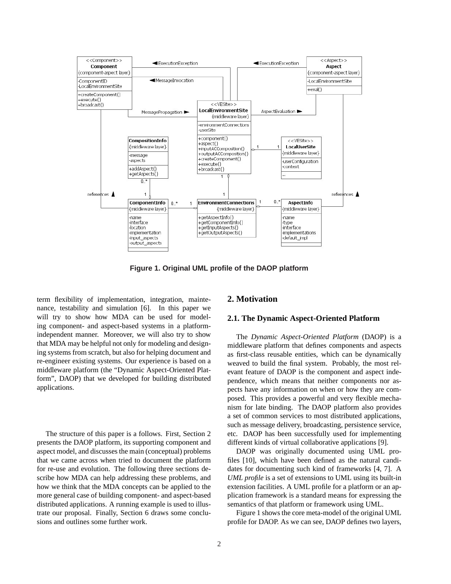

**Figure 1. Original UML profile of the DAOP platform**

term flexibility of implementation, integration, maintenance, testability and simulation [6]. In this paper we will try to show how MDA can be used for modeling component- and aspect-based systems in a platformindependent manner. Moreover, we will also try to show that MDA may be helpful not only for modeling and designing systems from scratch, but also for helping document and re-engineer existing systems. Our experience is based on a middleware platform (the "Dynamic Aspect-Oriented Platform", DAOP) that we developed for building distributed applications.

The structure of this paper is a follows. First, Section 2 presents the DAOP platform, its supporting component and aspect model, and discusses the main (conceptual) problems that we came across when tried to document the platform for re-use and evolution. The following three sections describe how MDA can help addressing these problems, and how we think that the MDA concepts can be applied to the more general case of building component- and aspect-based distributed applications. A running example is used to illustrate our proposal. Finally, Section 6 draws some conclusions and outlines some further work.

## **2. Motivation**

### **2.1. The Dynamic Aspect-Oriented Platform**

The *Dynamic Aspect-Oriented Platform* (DAOP) is a middleware platform that defines components and aspects as first-class reusable entities, which can be dynamically weaved to build the final system. Probably, the most relevant feature of DAOP is the component and aspect independence, which means that neither components nor aspects have any information on when or how they are composed. This provides a powerful and very flexible mechanism for late binding. The DAOP platform also provides a set of common services to most distributed applications, such as message delivery, broadcasting, persistence service, etc. DAOP has been successfully used for implementing different kinds of virtual collaborative applications [9].

DAOP was originally documented using UML profiles [10], which have been defined as the natural candidates for documenting such kind of frameworks [4, 7]. A *UML profile* is a set of extensions to UML using its built-in extension facilities. A UML profile for a platform or an application framework is a standard means for expressing the semantics of that platform or framework using UML.

Figure 1 shows the core meta-model of the original UML profile for DAOP. As we can see, DAOP defines two layers,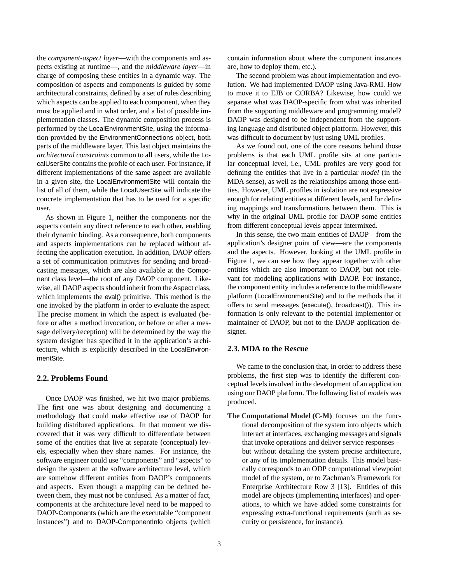the *component-aspect layer*—with the components and aspects existing at runtime—, and the *middleware layer*—in charge of composing these entities in a dynamic way. The composition of aspects and components is guided by some architectural constraints, defined by a set of rules describing which aspects can be applied to each component, when they must be applied and in what order, and a list of possible implementation classes. The dynamic composition process is performed by the LocalEnvironmentSite, using the information provided by the EnvironmentConnections object, both parts of the middleware layer. This last object maintains the *architectural constraints* common to all users, while the LocalUserSite contains the profile of each user. For instance, if different implementations of the same aspect are available in a given site, the LocalEnvironmentSite will contain the list of all of them, while the LocalUserSite will indicate the concrete implementation that has to be used for a specific user.

As shown in Figure 1, neither the components nor the aspects contain any direct reference to each other, enabling their dynamic binding. As a consequence, both components and aspects implementations can be replaced without affecting the application execution. In addition, DAOP offers a set of communication primitives for sending and broadcasting messages, which are also available at the Component class level—the root of any DAOP component. Likewise, all DAOP aspects should inherit from the Aspect class, which implements the eval() primitive. This method is the one invoked by the platform in order to evaluate the aspect. The precise moment in which the aspect is evaluated (before or after a method invocation, or before or after a message delivery/reception) will be determined by the way the system designer has specified it in the application's architecture, which is explicitly described in the LocalEnvironmentSite.

# **2.2. Problems Found**

Once DAOP was finished, we hit two major problems. The first one was about designing and documenting a methodology that could make effective use of DAOP for building distributed applications. In that moment we discovered that it was very difficult to differentiate between some of the entities that live at separate (conceptual) levels, especially when they share names. For instance, the software engineer could use "components" and "aspects" to design the system at the software architecture level, which are somehow different entities from DAOP's components and aspects. Even though a mapping can be defined between them, they must not be confused. As a matter of fact, components at the architecture level need to be mapped to DAOP-Components (which are the executable "component instances") and to DAOP-ComponentInfo objects (which

contain information about where the component instances are, how to deploy them, etc.).

The second problem was about implementation and evolution. We had implemented DAOP using Java-RMI. How to move it to EJB or CORBA? Likewise, how could we separate what was DAOP-specific from what was inherited from the supporting middleware and programming model? DAOP was designed to be independent from the supporting language and distributed object platform. However, this was difficult to document by just using UML profiles.

As we found out, one of the core reasons behind those problems is that each UML profile sits at one particular conceptual level, i.e., UML profiles are very good for defining the entities that live in a particular *model* (in the MDA sense), as well as the relationships among those entities. However, UML profiles in isolation are not expressive enough for relating entities at different levels, and for defining mappings and transformations between them. This is why in the original UML profile for DAOP some entities from different conceptual levels appear intermixed.

In this sense, the two main entities of DAOP—from the application's designer point of view—are the components and the aspects. However, looking at the UML profile in Figure 1, we can see how they appear together with other entities which are also important to DAOP, but not relevant for modeling applications with DAOP. For instance, the component entity includes a reference to the middleware platform (LocalEnvironmentSite) and to the methods that it offers to send messages (execute(), broadcast()). This information is only relevant to the potential implementor or maintainer of DAOP, but not to the DAOP application designer.

# **2.3. MDA to the Rescue**

We came to the conclusion that, in order to address these problems, the first step was to identify the different conceptual levels involved in the development of an application using our DAOP platform. The following list of *models* was produced.

**The Computational Model (C-M)** focuses on the functional decomposition of the system into objects which interact at interfaces, exchanging messages and signals that invoke operations and deliver service responses but without detailing the system precise architecture, or any of its implementation details. This model basically corresponds to an ODP computational viewpoint model of the system, or to Zachman's Framework for Enterprise Architecture Row 3 [13]. Entities of this model are objects (implementing interfaces) and operations, to which we have added some constraints for expressing extra-functional requirements (such as security or persistence, for instance).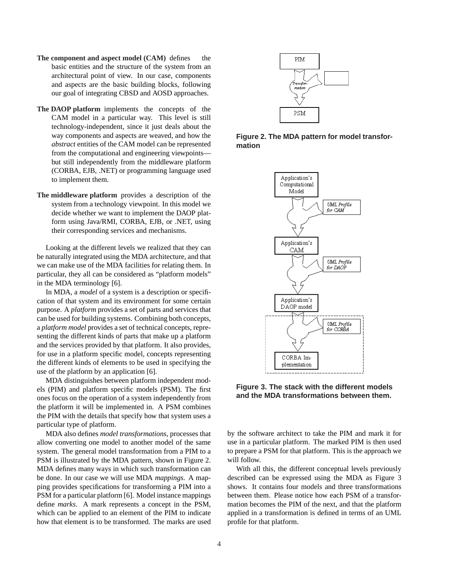- **The component and aspect model (CAM)** defines the basic entities and the structure of the system from an architectural point of view. In our case, components and aspects are the basic building blocks, following our goal of integrating CBSD and AOSD approaches.
- **The DAOP platform** implements the concepts of the CAM model in a particular way. This level is still technology-independent, since it just deals about the way components and aspects are weaved, and how the *abstract* entities of the CAM model can be represented from the computational and engineering viewpoints but still independently from the middleware platform (CORBA, EJB, .NET) or programming language used to implement them.
- **The middleware platform** provides a description of the system from a technology viewpoint. In this model we decide whether we want to implement the DAOP platform using Java/RMI, CORBA, EJB, or .NET, using their corresponding services and mechanisms.

Looking at the different levels we realized that they can be naturally integrated using the MDA architecture, and that we can make use of the MDA facilities for relating them. In particular, they all can be considered as "platform models" in the MDA terminology [6].

In MDA, a *model* of a system is a description or specification of that system and its environment for some certain purpose. A *platform* provides a set of parts and services that can be used for building systems. Combining both concepts, a *platform model* provides a set of technical concepts, representing the different kinds of parts that make up a platform and the services provided by that platform. It also provides, for use in a platform specific model, concepts representing the different kinds of elements to be used in specifying the use of the platform by an application [6].

MDA distinguishes between platform independent models (PIM) and platform specific models (PSM). The first ones focus on the operation of a system independently from the platform it will be implemented in. A PSM combines the PIM with the details that specify how that system uses a particular type of platform.

MDA also defines *model transformations*, processes that allow converting one model to another model of the same system. The general model transformation from a PIM to a PSM is illustrated by the MDA pattern, shown in Figure 2. MDA defines many ways in which such transformation can be done. In our case we will use MDA *mappings*. A mapping provides specifications for transforming a PIM into a PSM for a particular platform [6]. Model instance mappings define *marks*. A mark represents a concept in the PSM, which can be applied to an element of the PIM to indicate how that element is to be transformed. The marks are used



**Figure 2. The MDA pattern for model transformation**



**Figure 3. The stack with the different models and the MDA transformations between them.**

by the software architect to take the PIM and mark it for use in a particular platform. The marked PIM is then used to prepare a PSM for that platform. This is the approach we will follow.

With all this, the different conceptual levels previously described can be expressed using the MDA as Figure 3 shows. It contains four models and three transformations between them. Please notice how each PSM of a transformation becomes the PIM of the next, and that the platform applied in a transformation is defined in terms of an UML profile for that platform.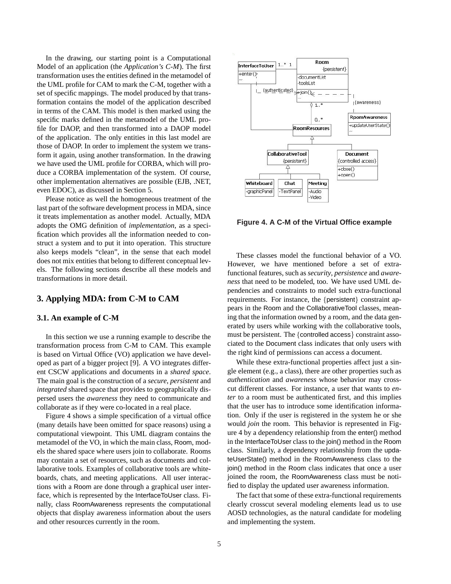In the drawing, our starting point is a Computational Model of an application (the *Application's C-M*). The first transformation uses the entities defined in the metamodel of the UML profile for CAM to mark the C-M, together with a set of specific mappings. The model produced by that transformation contains the model of the application described in terms of the CAM. This model is then marked using the specific marks defined in the metamodel of the UML profile for DAOP, and then transformed into a DAOP model of the application. The only entities in this last model are those of DAOP. In order to implement the system we transform it again, using another transformation. In the drawing we have used the UML profile for CORBA, which will produce a CORBA implementation of the system. Of course, other implementation alternatives are possible (EJB, .NET, even EDOC), as discussed in Section 5.

Please notice as well the homogeneous treatment of the last part of the software development process in MDA, since it treats implementation as another model. Actually, MDA adopts the OMG definition of *implementation*, as a specification which provides all the information needed to construct a system and to put it into operation. This structure also keeps models "clean", in the sense that each model does not mix entities that belong to different conceptual levels. The following sections describe all these models and transformations in more detail.

# **3. Applying MDA: from C-M to CAM**

#### **3.1. An example of C-M**

In this section we use a running example to describe the transformation process from C-M to CAM. This example is based on Virtual Office (VO) application we have developed as part of a bigger project [9]. A VO integrates different CSCW applications and documents in a *shared space*. The main goal is the construction of a *secure*, *persistent* and *integrated* shared space that provides to geographically dispersed users the *awareness* they need to communicate and collaborate as if they were co-located in a real place.

Figure 4 shows a simple specification of a virtual office (many details have been omitted for space reasons) using a computational viewpoint. This UML diagram contains the metamodel of the VO, in which the main class, Room, models the shared space where users join to collaborate. Rooms may contain a set of resources, such as documents and collaborative tools. Examples of collaborative tools are whiteboards, chats, and meeting applications. All user interactions with a Room are done through a graphical user interface, which is represented by the InterfaceToUser class. Finally, class RoomAwareness represents the computational objects that display awareness information about the users and other resources currently in the room.



**Figure 4. A C-M of the Virtual Office example**

These classes model the functional behavior of a VO. However, we have mentioned before a set of extrafunctional features, such as *security*, *persistence* and *awareness* that need to be modeled, too. We have used UML dependencies and constraints to model such extra-functional requirements. For instance, the {persistent} constraint appears in the Room and the CollaborativeTool classes, meaning that the information owned by a room, and the data generated by users while working with the collaborative tools, must be persistent. The {controlled access} constraint associated to the Document class indicates that only users with the right kind of permissions can access a document.

While these extra-functional properties affect just a single element (e.g., a class), there are other properties such as *authentication* and *awareness* whose behavior may crosscut different classes. For instance, a user that wants to *enter* to a room must be authenticated first, and this implies that the user has to introduce some identification information. Only if the user is registered in the system he or she would *join* the room. This behavior is represented in Figure 4 by a dependency relationship from the enter() method in the InterfaceToUser class to the join() method in the Room class. Similarly, a dependency relationship from the updateUserState() method in the RoomAwareness class to the join() method in the Room class indicates that once a user joined the room, the RoomAwareness class must be notified to display the updated user awareness information.

The fact that some of these extra-functional requirements clearly crosscut several modeling elements lead us to use AOSD technologies, as the natural candidate for modeling and implementing the system.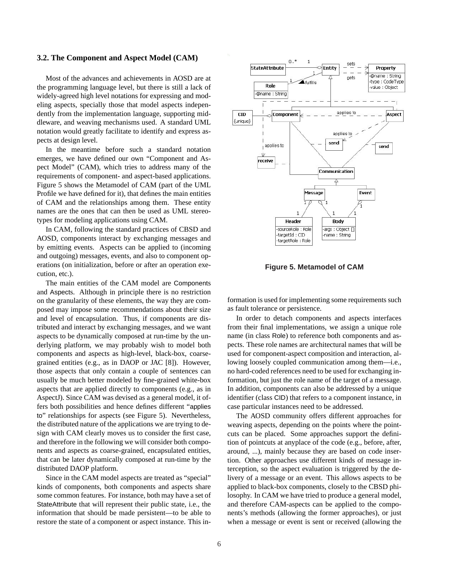#### **3.2. The Component and Aspect Model (CAM)**

Most of the advances and achievements in AOSD are at the programming language level, but there is still a lack of widely-agreed high level notations for expressing and modeling aspects, specially those that model aspects independently from the implementation language, supporting middleware, and weaving mechanisms used. A standard UML notation would greatly facilitate to identify and express aspects at design level.

In the meantime before such a standard notation emerges, we have defined our own "Component and Aspect Model" (CAM), which tries to address many of the requirements of component- and aspect-based applications. Figure 5 shows the Metamodel of CAM (part of the UML Profile we have defined for it), that defines the main entities of CAM and the relationships among them. These entity names are the ones that can then be used as UML stereotypes for modeling applications using CAM.

In CAM, following the standard practices of CBSD and AOSD, components interact by exchanging messages and by emitting events. Aspects can be applied to (incoming and outgoing) messages, events, and also to component operations (on initialization, before or after an operation execution, etc.).

The main entities of the CAM model are Components and Aspects. Although in principle there is no restriction on the granularity of these elements, the way they are composed may impose some recommendations about their size and level of encapsulation. Thus, if components are distributed and interact by exchanging messages, and we want aspects to be dynamically composed at run-time by the underlying platform, we may probably wish to model both components and aspects as high-level, black-box, coarsegrained entities (e.g., as in DAOP or JAC [8]). However, those aspects that only contain a couple of sentences can usually be much better modeled by fine-grained white-box aspects that are applied directly to components (e.g., as in AspectJ). Since CAM was devised as a general model, it offers both possibilities and hence defines different "applies to" relationships for aspects (see Figure 5). Nevertheless, the distributed nature of the applications we are trying to design with CAM clearly moves us to consider the first case, and therefore in the following we will consider both components and aspects as coarse-grained, encapsulated entities, that can be later dynamically composed at run-time by the distributed DAOP platform.

Since in the CAM model aspects are treated as "special" kinds of components, both components and aspects share some common features. For instance, both may have a set of StateAttribute that will represent their public state, i.e., the information that should be made persistent—to be able to restore the state of a component or aspect instance. This in-



**Figure 5. Metamodel of CAM**

formation is used for implementing some requirements such as fault tolerance or persistence.

In order to detach components and aspects interfaces from their final implementations, we assign a unique role name (in class Role) to reference both components and aspects. These role names are architectural names that will be used for component-aspect composition and interaction, allowing loosely coupled communication among them—i.e., no hard-coded references need to be used for exchanging information, but just the role name of the target of a message. In addition, components can also be addressed by a unique identifier (class CID) that refers to a component instance, in case particular instances need to be addressed.

The AOSD community offers different approaches for weaving aspects, depending on the points where the pointcuts can be placed. Some approaches support the definition of pointcuts at anyplace of the code (e.g., before, after, around, ...), mainly because they are based on code insertion. Other approaches use different kinds of message interception, so the aspect evaluation is triggered by the delivery of a message or an event. This allows aspects to be applied to black-box components, closely to the CBSD philosophy. In CAM we have tried to produce a general model, and therefore CAM-aspects can be applied to the components's methods (allowing the former approaches), or just when a message or event is sent or received (allowing the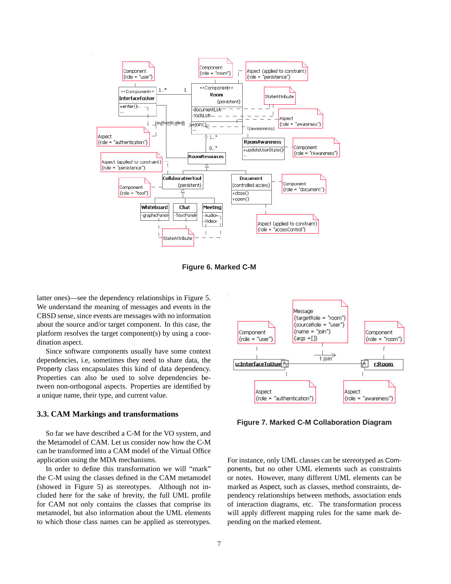



latter ones)—see the dependency relationships in Figure 5. We understand the meaning of messages and events in the CBSD sense, since events are messages with no information about the source and/or target component. In this case, the platform resolves the target component(s) by using a coordination aspect.

Since software components usually have some context dependencies, i.e, sometimes they need to share data, the Property class encapsulates this kind of data dependency. Properties can also be used to solve dependencies between non-orthogonal aspects. Properties are identified by a unique name, their type, and current value.

#### **3.3. CAM Markings and transformations**

So far we have described a C-M for the VO system, and the Metamodel of CAM. Let us consider now how the C-M can be transformed into a CAM model of the Virtual Office application using the MDA mechanisms.

In order to define this transformation we will "mark" the C-M using the classes defined in the CAM metamodel (showed in Figure 5) as stereotypes. Although not included here for the sake of brevity, the full UML profile for CAM not only contains the classes that comprise its metamodel, but also information about the UML elements to which those class names can be applied as stereotypes.



**Figure 7. Marked C-M Collaboration Diagram**

For instance, only UML classes can be stereotyped as Components, but no other UML elements such as constraints or notes. However, many different UML elements can be marked as Aspect, such as classes, method constraints, dependency relationships between methods, association ends of interaction diagrams, etc. The transformation process will apply different mapping rules for the same mark depending on the marked element.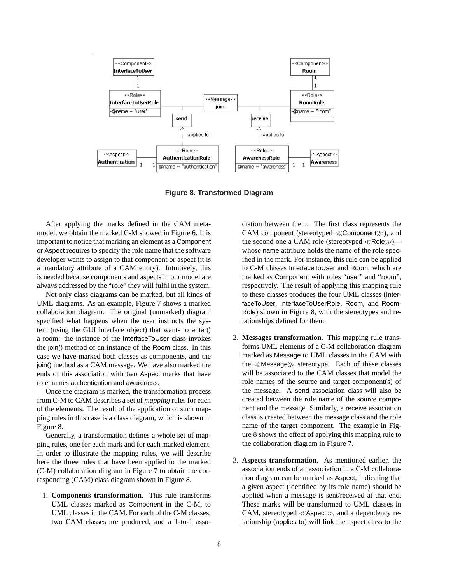

**Figure 8. Transformed Diagram**

After applying the marks defined in the CAM metamodel, we obtain the marked C-M showed in Figure 6. It is important to notice that marking an element as a Component or Aspect requires to specify the role name that the software developer wants to assign to that component or aspect (it is a mandatory attribute of a CAM entity). Intuitively, this is needed because components and aspects in our model are always addressed by the "role" they will fulfil in the system.

Not only class diagrams can be marked, but all kinds of UML diagrams. As an example, Figure 7 shows a marked collaboration diagram. The original (unmarked) diagram specified what happens when the user instructs the system (using the GUI interface object) that wants to enter() a room: the instance of the InterfaceToUser class invokes the join() method of an instance of the Room class. In this case we have marked both classes as components, and the join() method as a CAM message. We have also marked the ends of this association with two Aspect marks that have role names authentication and awareness.

Once the diagram is marked, the transformation process from C-M to CAM describes a set of *mapping* rules for each of the elements. The result of the application of such mapping rules in this case is a class diagram, which is shown in Figure 8.

Generally, a transformation defines a whole set of mapping rules, one for each mark and for each marked element. In order to illustrate the mapping rules, we will describe here the three rules that have been applied to the marked (C-M) collaboration diagram in Figure 7 to obtain the corresponding (CAM) class diagram shown in Figure 8.

1. **Components transformation**. This rule transforms UML classes marked as Component in the C-M, to UML classes in the CAM. For each of the C-M classes, two CAM classes are produced, and a 1-to-1 association between them. The first class represents the CAM component (stereotyped  $\ll$  Component $\gg$ ), and the second one a CAM role (stereotyped  $\ll$ Role $\gg$ ) whose name attribute holds the name of the role specified in the mark. For instance, this rule can be applied to C-M classes InterfaceToUser and Room, which are marked as Component with roles "user" and "room", respectively. The result of applying this mapping rule to these classes produces the four UML classes (InterfaceToUser, InterfaceToUserRole, Room, and Room-Role) shown in Figure 8, with the stereotypes and relationships defined for them.

- 2. **Messages transformation**. This mapping rule transforms UML elements of a C-M collaboration diagram marked as Message to UML classes in the CAM with the  $\ll$ Message $\gg$  stereotype. Each of these classes will be associated to the CAM classes that model the role names of the source and target component(s) of the message. A send association class will also be created between the role name of the source component and the message. Similarly, a receive association class is created between the message class and the role name of the target component. The example in Figure 8 shows the effect of applying this mapping rule to the collaboration diagram in Figure 7.
- 3. **Aspects transformation**. As mentioned earlier, the association ends of an association in a C-M collaboration diagram can be marked as Aspect, indicating that a given aspect (identified by its role name) should be applied when a message is sent/received at that end. These marks will be transformed to UML classes in CAM, stereotyped  $\ll$ Aspect $\gg$ , and a dependency relationship (applies to) will link the aspect class to the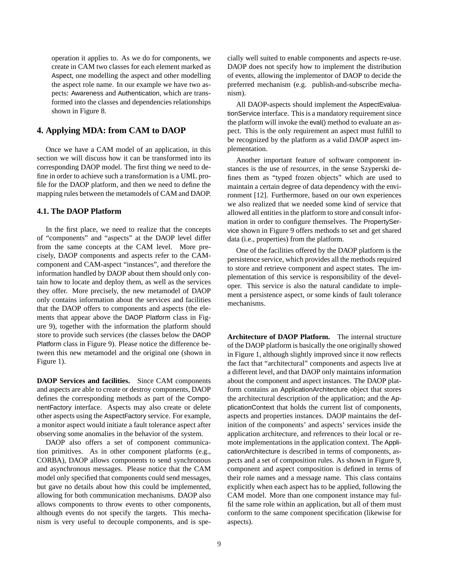operation it applies to. As we do for components, we create in CAM two classes for each element marked as Aspect, one modelling the aspect and other modelling the aspect role name. In our example we have two aspects: Awareness and Authentication, which are transformed into the classes and dependencies relationships shown in Figure 8.

# **4. Applying MDA: from CAM to DAOP**

Once we have a CAM model of an application, in this section we will discuss how it can be transformed into its corresponding DAOP model. The first thing we need to define in order to achieve such a transformation is a UML profile for the DAOP platform, and then we need to define the mapping rules between the metamodels of CAM and DAOP.

# **4.1. The DAOP Platform**

In the first place, we need to realize that the concepts of "components" and "aspects" at the DAOP level differ from the same concepts at the CAM level. More precisely, DAOP components and aspects refer to the CAMcomponent and CAM-aspect "instances", and therefore the information handled by DAOP about them should only contain how to locate and deploy them, as well as the services they offer. More precisely, the new metamodel of DAOP only contains information about the services and facilities that the DAOP offers to components and aspects (the elements that appear above the DAOP Platform class in Figure 9), together with the information the platform should store to provide such services (the classes below the DAOP Platform class in Figure 9). Please notice the difference between this new metamodel and the original one (shown in Figure 1).

**DAOP Services and facilities.** Since CAM components and aspects are able to create or destroy components, DAOP defines the corresponding methods as part of the ComponentFactory interface. Aspects may also create or delete other aspects using the AspectFactory service. For example, a monitor aspect would initiate a fault tolerance aspect after observing some anomalies in the behavior of the system.

DAOP also offers a set of component communication primitives. As in other component platforms (e.g., CORBA), DAOP allows components to send synchronous and asynchronous messages. Please notice that the CAM model only specified that components could send messages, but gave no details about how this could be implemented, allowing for both communication mechanisms. DAOP also allows components to throw events to other components, although events do not specify the targets. This mechanism is very useful to decouple components, and is specially well suited to enable components and aspects re-use. DAOP does not specify how to implement the distribution of events, allowing the implementor of DAOP to decide the preferred mechanism (e.g. publish-and-subscribe mechanism).

All DAOP-aspects should implement the AspectEvaluationService interface. This is a mandatory requirement since the platform will invoke the eval() method to evaluate an aspect. This is the only requirement an aspect must fulfill to be recognized by the platform as a valid DAOP aspect implementation.

Another important feature of software component instances is the use of *resources*, in the sense Szyperski defines them as "typed frozen objects" which are used to maintain a certain degree of data dependency with the environment [12]. Furthermore, based on our own experiences we also realized that we needed some kind of service that allowed all entities in the platform to store and consult information in order to configure themselves. The PropertyService shown in Figure 9 offers methods to set and get shared data (i.e., properties) from the platform.

One of the facilities offered by the DAOP platform is the persistence service, which provides all the methods required to store and retrieve component and aspect states. The implementation of this service is responsibility of the developer. This service is also the natural candidate to implement a persistence aspect, or some kinds of fault tolerance mechanisms.

**Architecture of DAOP Platform.** The internal structure of the DAOP platform is basically the one originally showed in Figure 1, although slightly improved since it now reflects the fact that "architectural" components and aspects live at a different level, and that DAOP only maintains information about the component and aspect instances. The DAOP platform contains an ApplicationArchitecture object that stores the architectural description of the application; and the ApplicationContext that holds the current list of components, aspects and properties instances. DAOP maintains the definition of the components' and aspects' services inside the application architecture, and references to their local or remote implementations in the application context. The ApplicationArchitecture is described in terms of components, aspects and a set of composition rules. As shown in Figure 9, component and aspect composition is defined in terms of their role names and a message name. This class contains explicitly when each aspect has to be applied, following the CAM model. More than one component instance may fulfil the same role within an application, but all of them must conform to the same component specification (likewise for aspects).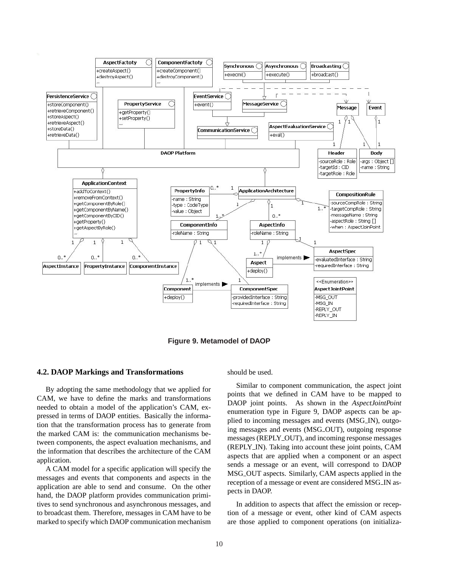

**Figure 9. Metamodel of DAOP**

### **4.2. DAOP Markings and Transformations**

By adopting the same methodology that we applied for CAM, we have to define the marks and transformations needed to obtain a model of the application's CAM, expressed in terms of DAOP entities. Basically the information that the transformation process has to generate from the marked CAM is: the communication mechanisms between components, the aspect evaluation mechanisms, and the information that describes the architecture of the CAM application.

A CAM model for a specific application will specify the messages and events that components and aspects in the application are able to send and consume. On the other hand, the DAOP platform provides communication primitives to send synchronous and asynchronous messages, and to broadcast them. Therefore, messages in CAM have to be marked to specify which DAOP communication mechanism should be used.

Similar to component communication, the aspect joint points that we defined in CAM have to be mapped to DAOP joint points. As shown in the *AspectJointPoint* enumeration type in Figure 9, DAOP aspects can be applied to incoming messages and events (MSG\_IN), outgoing messages and events (MSG<sub>-OUT</sub>), outgoing response messages (REPLY\_OUT), and incoming response messages (REPLY IN). Taking into account these joint points, CAM aspects that are applied when a component or an aspect sends a message or an event, will correspond to DAOP MSG\_OUT aspects. Similarly, CAM aspects applied in the reception of a message or event are considered MSG\_IN aspects in DAOP.

In addition to aspects that affect the emission or reception of a message or event, other kind of CAM aspects are those applied to component operations (on initializa-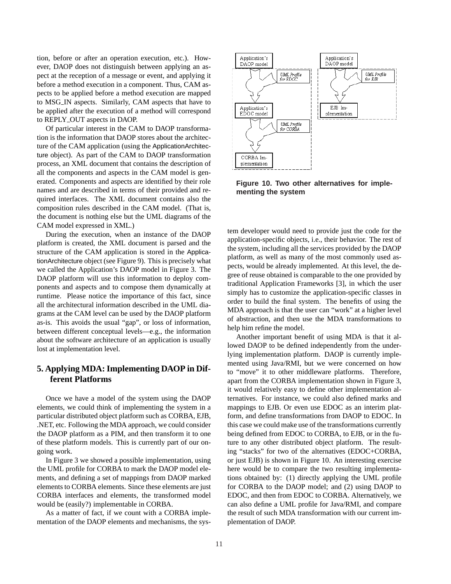tion, before or after an operation execution, etc.). However, DAOP does not distinguish between applying an aspect at the reception of a message or event, and applying it before a method execution in a component. Thus, CAM aspects to be applied before a method execution are mapped to MSG IN aspects. Similarly, CAM aspects that have to be applied after the execution of a method will correspond to REPLY OUT aspects in DAOP.

Of particular interest in the CAM to DAOP transformation is the information that DAOP stores about the architecture of the CAM application (using the ApplicationArchitecture object). As part of the CAM to DAOP transformation process, an XML document that contains the description of all the components and aspects in the CAM model is generated. Components and aspects are identified by their role names and are described in terms of their provided and required interfaces. The XML document contains also the composition rules described in the CAM model. (That is, the document is nothing else but the UML diagrams of the CAM model expressed in XML.)

During the execution, when an instance of the DAOP platform is created, the XML document is parsed and the structure of the CAM application is stored in the ApplicationArchitecture object (see Figure 9). This is precisely what we called the Application's DAOP model in Figure 3. The DAOP platform will use this information to deploy components and aspects and to compose them dynamically at runtime. Please notice the importance of this fact, since all the architectural information described in the UML diagrams at the CAM level can be used by the DAOP platform as-is. This avoids the usual "gap", or loss of information, between different conceptual levels—e.g., the information about the software architecture of an application is usually lost at implementation level.

# **5. Applying MDA: Implementing DAOP in Different Platforms**

Once we have a model of the system using the DAOP elements, we could think of implementing the system in a particular distributed object platform such as CORBA, EJB, .NET, etc. Following the MDA approach, we could consider the DAOP platform as a PIM, and then transform it to one of these platform models. This is currently part of our ongoing work.

In Figure 3 we showed a possible implementation, using the UML profile for CORBA to mark the DAOP model elements, and defining a set of mappings from DAOP marked elements to CORBA elements. Since these elements are just CORBA interfaces and elements, the transformed model would be (easily?) implementable in CORBA.

As a matter of fact, if we count with a CORBA implementation of the DAOP elements and mechanisms, the sys-



**Figure 10. Two other alternatives for implementing the system**

tem developer would need to provide just the code for the application-specific objects, i.e., their behavior. The rest of the system, including all the services provided by the DAOP platform, as well as many of the most commonly used aspects, would be already implemented. At this level, the degree of reuse obtained is comparable to the one provided by traditional Application Frameworks [3], in which the user simply has to customize the application-specific classes in order to build the final system. The benefits of using the MDA approach is that the user can "work" at a higher level of abstraction, and then use the MDA transformations to help him refine the model.

Another important benefit of using MDA is that it allowed DAOP to be defined independently from the underlying implementation platform. DAOP is currently implemented using Java/RMI, but we were concerned on how to "move" it to other middleware platforms. Therefore, apart from the CORBA implementation shown in Figure 3, it would relatively easy to define other implementation alternatives. For instance, we could also defined marks and mappings to EJB. Or even use EDOC as an interim platform, and define transformations from DAOP to EDOC. In this case we could make use of the transformations currently being defined from EDOC to CORBA, to EJB, or in the future to any other distributed object platform. The resulting "stacks" for two of the alternatives (EDOC+CORBA, or just EJB) is shown in Figure 10. An interesting exercise here would be to compare the two resulting implementations obtained by: (1) directly applying the UML profile for CORBA to the DAOP model; and (2) using DAOP to EDOC, and then from EDOC to CORBA. Alternatively, we can also define a UML profile for Java/RMI, and compare the result of such MDA transformation with our current implementation of DAOP.